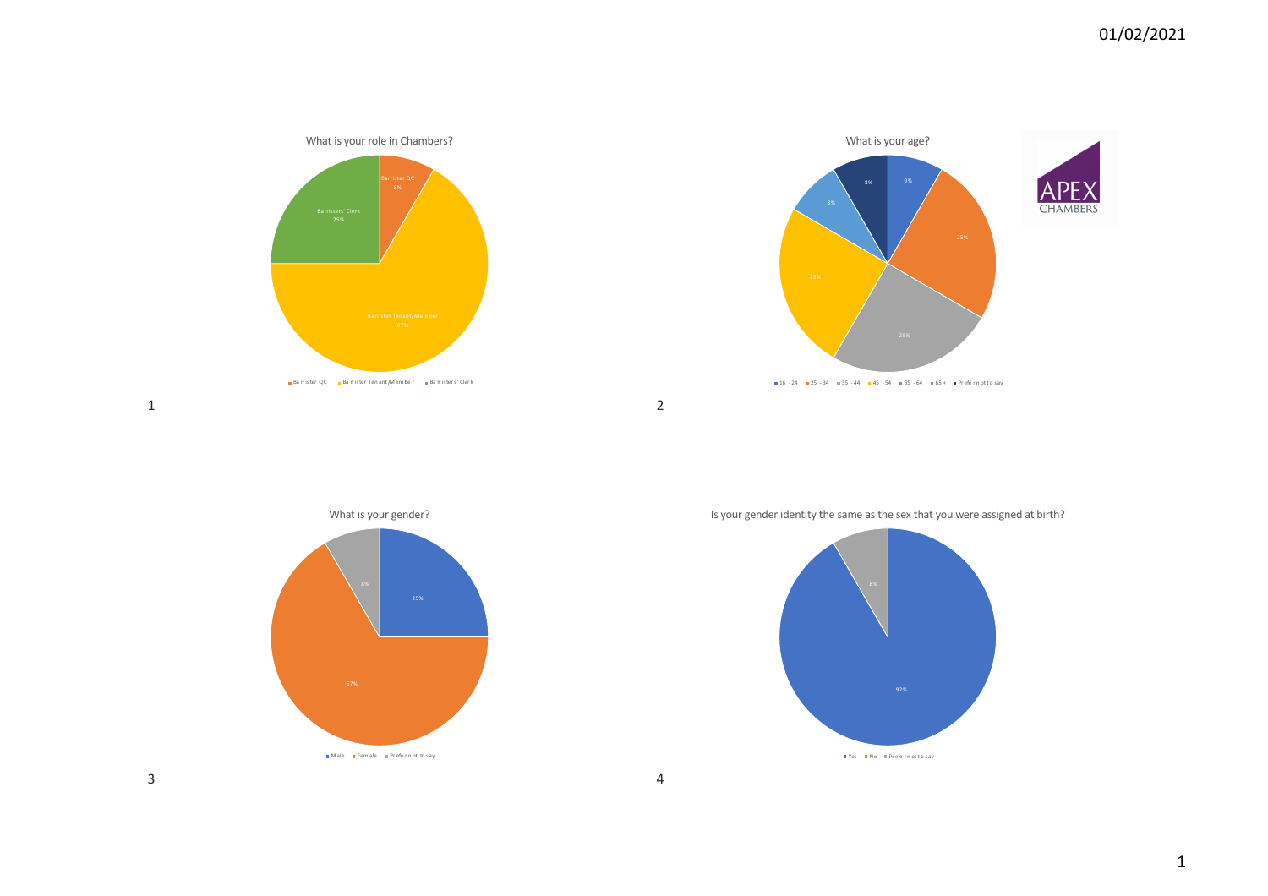DE **CHAMBERS** 



1



Male Fem ale Prefern ot to say

Is your gender identity the same as the sex that you were assigned at birth?

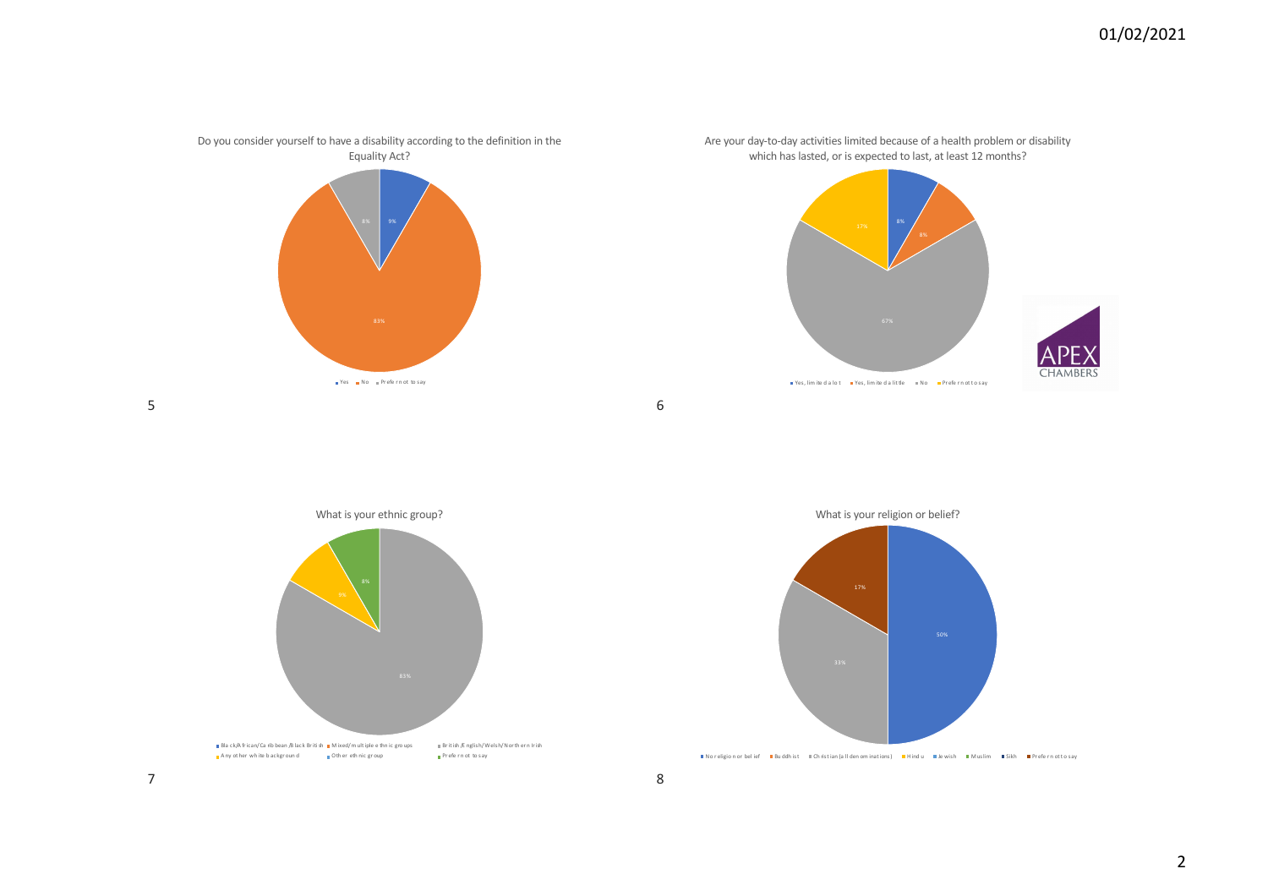

Are your day-to-day activities limited because of a health problem or disability which has lasted, or is expected to last, at least 12 months?



6

8

5



What is your religion or belief?



<sup>■</sup>No religion or belief ■Bu ddh ist ■Ch ristian (a ll den om inations) ■Hind u ■Je wish ■Muslim ■Sikh ■Pr efe r n otto say

7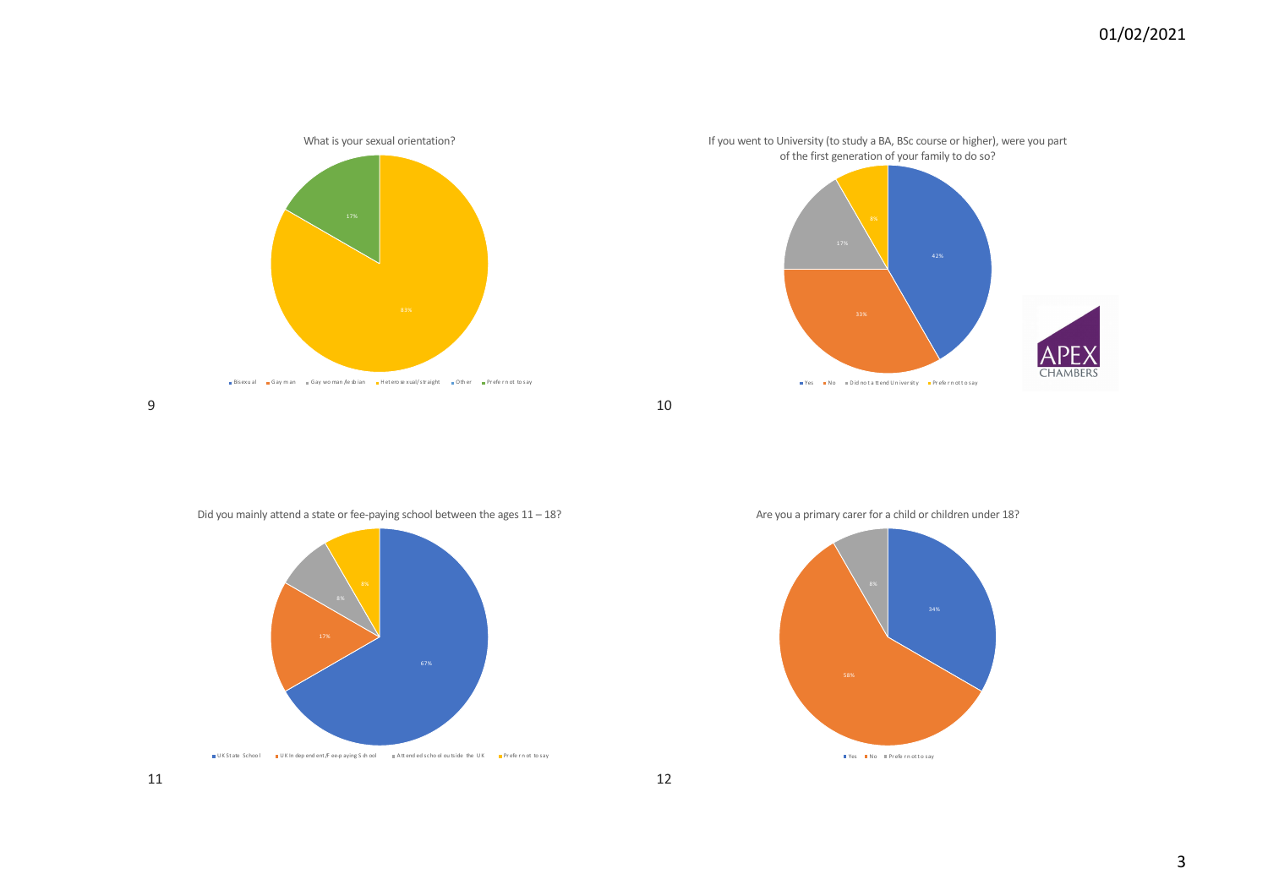

10

12

9

Are you a primary carer for a child or children under 18?





<sub>■</sub> Bisexu al <sub>■</sub> Gay m an <sub>■</sub> Gay wo man /le sb ian ■ Het ero se xual/ str aight ■ Oth er ■ Pr efe r n ot to say

What is your sexual orientation?